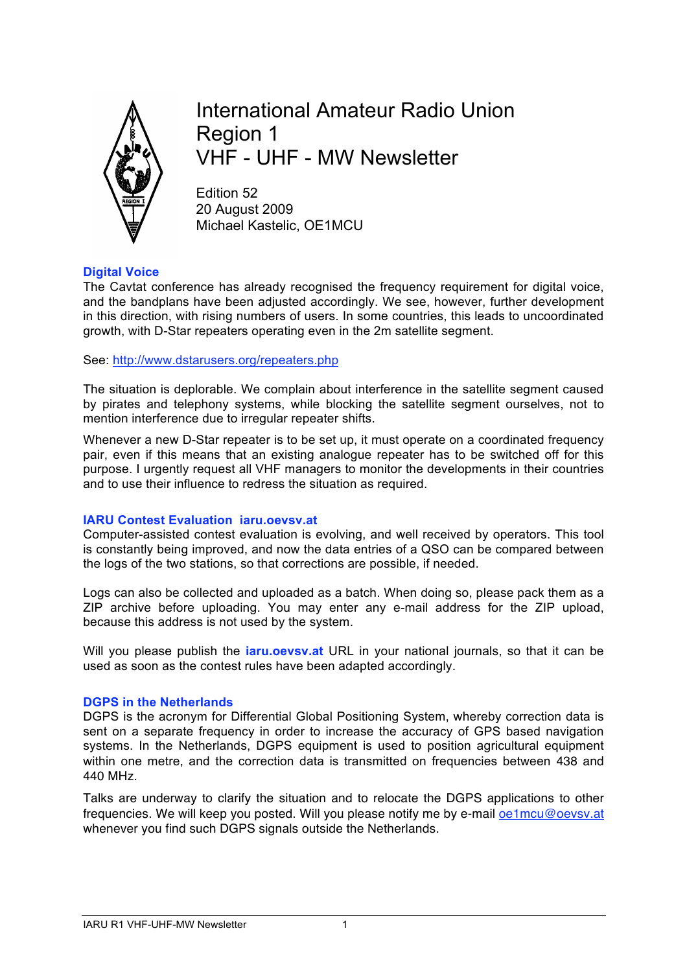

International Amateur Radio Union Region 1 VHF - UHF - MW Newsletter

Edition 52 20 August 2009 Michael Kastelic, OE1MCU

## **Digital Voice**

The Cavtat conference has already recognised the frequency requirement for digital voice, and the bandplans have been adjusted accordingly. We see, however, further development in this direction, with rising numbers of users. In some countries, this leads to uncoordinated growth, with D-Star repeaters operating even in the 2m satellite segment.

See: http://www.dstarusers.org/repeaters.php

The situation is deplorable. We complain about interference in the satellite segment caused by pirates and telephony systems, while blocking the satellite segment ourselves, not to mention interference due to irregular repeater shifts.

Whenever a new D-Star repeater is to be set up, it must operate on a coordinated frequency pair, even if this means that an existing analogue repeater has to be switched off for this purpose. I urgently request all VHF managers to monitor the developments in their countries and to use their influence to redress the situation as required.

#### **IARU Contest Evaluation iaru.oevsv.at**

Computer-assisted contest evaluation is evolving, and well received by operators. This tool is constantly being improved, and now the data entries of a QSO can be compared between the logs of the two stations, so that corrections are possible, if needed.

Logs can also be collected and uploaded as a batch. When doing so, please pack them as a ZIP archive before uploading. You may enter any e-mail address for the ZIP upload, because this address is not used by the system.

Will you please publish the **iaru.oevsv.at** URL in your national journals, so that it can be used as soon as the contest rules have been adapted accordingly.

#### **DGPS in the Netherlands**

DGPS is the acronym for Differential Global Positioning System, whereby correction data is sent on a separate frequency in order to increase the accuracy of GPS based navigation systems. In the Netherlands, DGPS equipment is used to position agricultural equipment within one metre, and the correction data is transmitted on frequencies between 438 and 440 MHz.

Talks are underway to clarify the situation and to relocate the DGPS applications to other frequencies. We will keep you posted. Will you please notify me by e-mail **pe1mcu@pevsv.at** whenever you find such DGPS signals outside the Netherlands.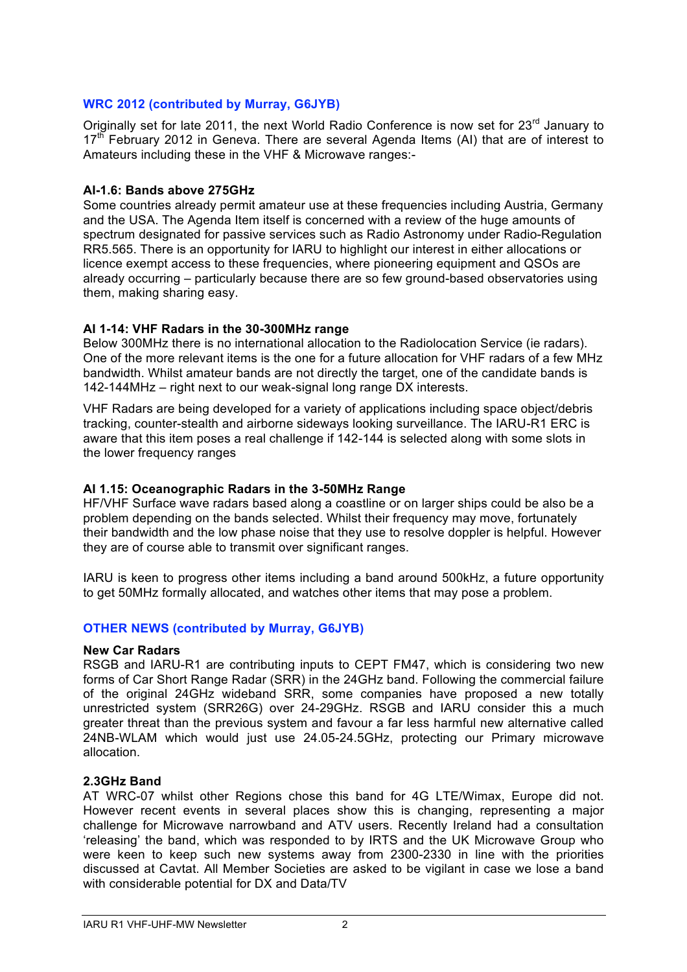# **WRC 2012 (contributed by Murray, G6JYB)**

Originally set for late 2011, the next World Radio Conference is now set for 23<sup>rd</sup> January to  $17<sup>th</sup>$  February 2012 in Geneva. There are several Agenda Items (AI) that are of interest to Amateurs including these in the VHF & Microwave ranges:-

### **AI-1.6: Bands above 275GHz**

Some countries already permit amateur use at these frequencies including Austria, Germany and the USA. The Agenda Item itself is concerned with a review of the huge amounts of spectrum designated for passive services such as Radio Astronomy under Radio-Regulation RR5.565. There is an opportunity for IARU to highlight our interest in either allocations or licence exempt access to these frequencies, where pioneering equipment and QSOs are already occurring – particularly because there are so few ground-based observatories using them, making sharing easy.

## **AI 1-14: VHF Radars in the 30-300MHz range**

Below 300MHz there is no international allocation to the Radiolocation Service (ie radars). One of the more relevant items is the one for a future allocation for VHF radars of a few MHz bandwidth. Whilst amateur bands are not directly the target, one of the candidate bands is 142-144MHz – right next to our weak-signal long range DX interests.

VHF Radars are being developed for a variety of applications including space object/debris tracking, counter-stealth and airborne sideways looking surveillance. The IARU-R1 ERC is aware that this item poses a real challenge if 142-144 is selected along with some slots in the lower frequency ranges

#### **AI 1.15: Oceanographic Radars in the 3-50MHz Range**

HF/VHF Surface wave radars based along a coastline or on larger ships could be also be a problem depending on the bands selected. Whilst their frequency may move, fortunately their bandwidth and the low phase noise that they use to resolve doppler is helpful. However they are of course able to transmit over significant ranges.

IARU is keen to progress other items including a band around 500kHz, a future opportunity to get 50MHz formally allocated, and watches other items that may pose a problem.

# **OTHER NEWS (contributed by Murray, G6JYB)**

#### **New Car Radars**

RSGB and IARU-R1 are contributing inputs to CEPT FM47, which is considering two new forms of Car Short Range Radar (SRR) in the 24GHz band. Following the commercial failure of the original 24GHz wideband SRR, some companies have proposed a new totally unrestricted system (SRR26G) over 24-29GHz. RSGB and IARU consider this a much greater threat than the previous system and favour a far less harmful new alternative called 24NB-WLAM which would just use 24.05-24.5GHz, protecting our Primary microwave allocation.

#### **2.3GHz Band**

AT WRC-07 whilst other Regions chose this band for 4G LTE/Wimax, Europe did not. However recent events in several places show this is changing, representing a major challenge for Microwave narrowband and ATV users. Recently Ireland had a consultation 'releasing' the band, which was responded to by IRTS and the UK Microwave Group who were keen to keep such new systems away from 2300-2330 in line with the priorities discussed at Cavtat. All Member Societies are asked to be vigilant in case we lose a band with considerable potential for DX and Data/TV